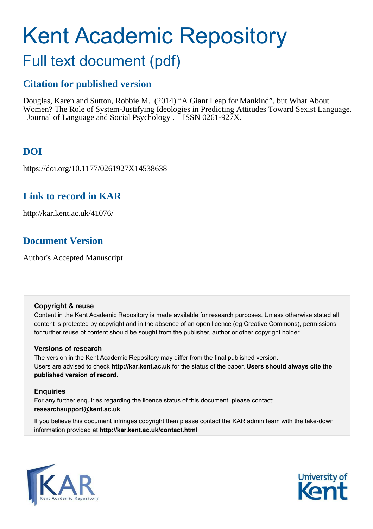# Kent Academic Repository

# Full text document (pdf)

# **Citation for published version**

Douglas, Karen and Sutton, Robbie M. (2014) "A Giant Leap for Mankind", but What About Women? The Role of System-Justifying Ideologies in Predicting Attitudes Toward Sexist Language. Journal of Language and Social Psychology . ISSN 0261-927X.

# **DOI**

https://doi.org/10.1177/0261927X14538638

# **Link to record in KAR**

http://kar.kent.ac.uk/41076/

# **Document Version**

Author's Accepted Manuscript

# **Copyright & reuse**

Content in the Kent Academic Repository is made available for research purposes. Unless otherwise stated all content is protected by copyright and in the absence of an open licence (eg Creative Commons), permissions for further reuse of content should be sought from the publisher, author or other copyright holder.

# **Versions of research**

The version in the Kent Academic Repository may differ from the final published version. Users are advised to check **http://kar.kent.ac.uk** for the status of the paper. **Users should always cite the published version of record.**

# **Enquiries**

For any further enquiries regarding the licence status of this document, please contact: **researchsupport@kent.ac.uk**

If you believe this document infringes copyright then please contact the KAR admin team with the take-down information provided at **http://kar.kent.ac.uk/contact.html**



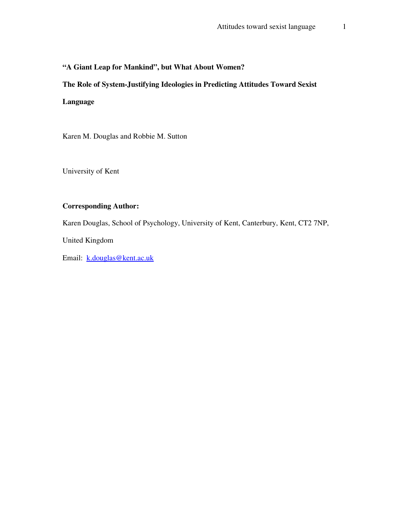# **"A Giant Leap for Mankind", but What About Women?**

# **The Role of System-Justifying Ideologies in Predicting Attitudes Toward Sexist**

## **Language**

Karen M. Douglas and Robbie M. Sutton

University of Kent

## **Corresponding Author:**

Karen Douglas, School of Psychology, University of Kent, Canterbury, Kent, CT2 7NP,

United Kingdom

Email: k.douglas@kent.ac.uk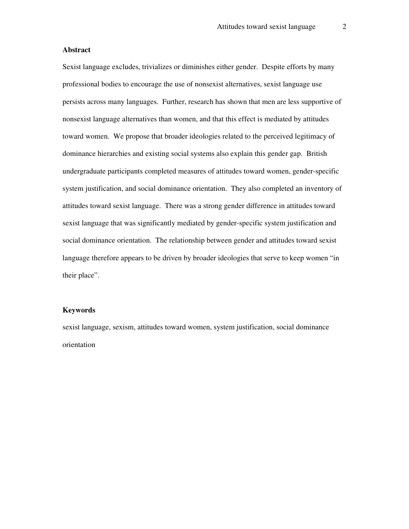#### **Abstract**

Sexist language excludes, trivializes or diminishes either gender. Despite efforts by many professional bodies to encourage the use of nonsexist alternatives, sexist language use persists across many languages. Further, research has shown that men are less supportive of nonsexist language alternatives than women, and that this effect is mediated by attitudes toward women. We propose that broader ideologies related to the perceived legitimacy of dominance hierarchies and existing social systems also explain this gender gap. British undergraduate participants completed measures of attitudes toward women, gender-specific system justification, and social dominance orientation. They also completed an inventory of attitudes toward sexist language. There was a strong gender difference in attitudes toward sexist language that was significantly mediated by gender-specific system justification and social dominance orientation. The relationship between gender and attitudes toward sexist language therefore appears to be driven by broader ideologies that serve to keep women "in their place".

#### **Keywords**

sexist language, sexism, attitudes toward women, system justification, social dominance orientation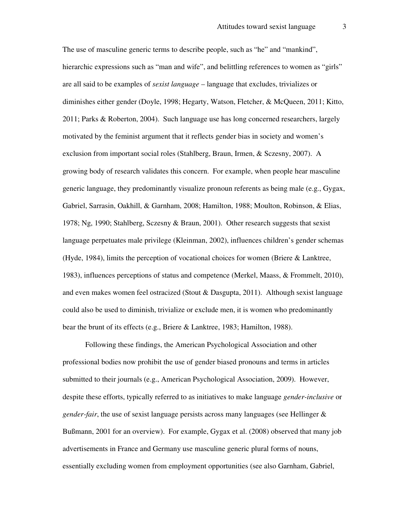The use of masculine generic terms to describe people, such as "he" and "mankind", hierarchic expressions such as "man and wife", and belittling references to women as "girls" are all said to be examples of *sexist language* – language that excludes, trivializes or diminishes either gender (Doyle, 1998; Hegarty, Watson, Fletcher, & McQueen, 2011; Kitto, 2011; Parks & Roberton, 2004). Such language use has long concerned researchers, largely motivated by the feminist argument that it reflects gender bias in society and women's exclusion from important social roles (Stahlberg, Braun, Irmen, & Sczesny, 2007). A growing body of research validates this concern. For example, when people hear masculine generic language, they predominantly visualize pronoun referents as being male (e.g., Gygax, Gabriel, Sarrasin, Oakhill, & Garnham, 2008; Hamilton, 1988; Moulton, Robinson, & Elias, 1978; Ng, 1990; Stahlberg, Sczesny & Braun, 2001). Other research suggests that sexist language perpetuates male privilege (Kleinman, 2002), influences children's gender schemas (Hyde, 1984), limits the perception of vocational choices for women (Briere & Lanktree, 1983), influences perceptions of status and competence (Merkel, Maass, & Frommelt, 2010), and even makes women feel ostracized (Stout  $\&$  Dasgupta, 2011). Although sexist language could also be used to diminish, trivialize or exclude men, it is women who predominantly bear the brunt of its effects (e.g., Briere & Lanktree, 1983; Hamilton, 1988).

Following these findings, the American Psychological Association and other professional bodies now prohibit the use of gender biased pronouns and terms in articles submitted to their journals (e.g., American Psychological Association, 2009). However, despite these efforts, typically referred to as initiatives to make language *gender-inclusive* or *gender-fair*, the use of sexist language persists across many languages (see Hellinger & Bußmann, 2001 for an overview). For example, Gygax et al. (2008) observed that many job advertisements in France and Germany use masculine generic plural forms of nouns, essentially excluding women from employment opportunities (see also Garnham, Gabriel,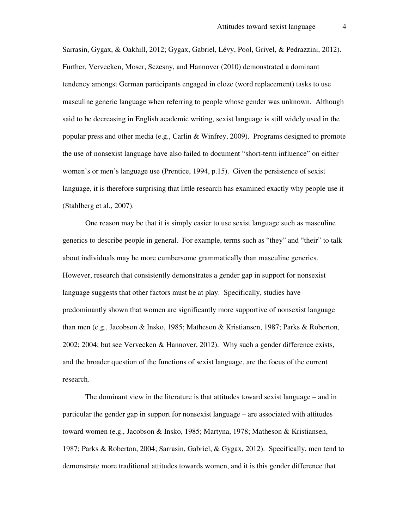Sarrasin, Gygax, & Oakhill, 2012; Gygax, Gabriel, Lévy, Pool, Grivel, & Pedrazzini, 2012). Further, Vervecken, Moser, Sczesny, and Hannover (2010) demonstrated a dominant tendency amongst German participants engaged in cloze (word replacement) tasks to use masculine generic language when referring to people whose gender was unknown. Although said to be decreasing in English academic writing, sexist language is still widely used in the popular press and other media (e.g., Carlin & Winfrey, 2009). Programs designed to promote the use of nonsexist language have also failed to document "short-term influence" on either women's or men's language use (Prentice, 1994, p.15). Given the persistence of sexist language, it is therefore surprising that little research has examined exactly why people use it (Stahlberg et al., 2007).

 One reason may be that it is simply easier to use sexist language such as masculine generics to describe people in general. For example, terms such as "they" and "their" to talk about individuals may be more cumbersome grammatically than masculine generics. However, research that consistently demonstrates a gender gap in support for nonsexist language suggests that other factors must be at play. Specifically, studies have predominantly shown that women are significantly more supportive of nonsexist language than men (e.g., Jacobson & Insko, 1985; Matheson & Kristiansen, 1987; Parks & Roberton, 2002; 2004; but see Vervecken & Hannover, 2012). Why such a gender difference exists, and the broader question of the functions of sexist language, are the focus of the current research.

 The dominant view in the literature is that attitudes toward sexist language – and in particular the gender gap in support for nonsexist language – are associated with attitudes toward women (e.g., Jacobson & Insko, 1985; Martyna, 1978; Matheson & Kristiansen, 1987; Parks & Roberton, 2004; Sarrasin, Gabriel, & Gygax, 2012). Specifically, men tend to demonstrate more traditional attitudes towards women, and it is this gender difference that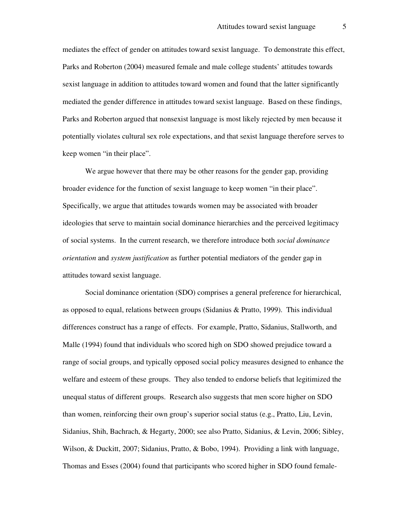mediates the effect of gender on attitudes toward sexist language. To demonstrate this effect, Parks and Roberton (2004) measured female and male college students' attitudes towards sexist language in addition to attitudes toward women and found that the latter significantly mediated the gender difference in attitudes toward sexist language. Based on these findings, Parks and Roberton argued that nonsexist language is most likely rejected by men because it potentially violates cultural sex role expectations, and that sexist language therefore serves to keep women "in their place".

We argue however that there may be other reasons for the gender gap, providing broader evidence for the function of sexist language to keep women "in their place". Specifically, we argue that attitudes towards women may be associated with broader ideologies that serve to maintain social dominance hierarchies and the perceived legitimacy of social systems. In the current research, we therefore introduce both *social dominance orientation* and *system justification* as further potential mediators of the gender gap in attitudes toward sexist language.

 Social dominance orientation (SDO) comprises a general preference for hierarchical, as opposed to equal, relations between groups (Sidanius & Pratto, 1999). This individual differences construct has a range of effects. For example, Pratto, Sidanius, Stallworth, and Malle (1994) found that individuals who scored high on SDO showed prejudice toward a range of social groups, and typically opposed social policy measures designed to enhance the welfare and esteem of these groups. They also tended to endorse beliefs that legitimized the unequal status of different groups. Research also suggests that men score higher on SDO than women, reinforcing their own group's superior social status (e.g., Pratto, Liu, Levin, Sidanius, Shih, Bachrach, & Hegarty, 2000; see also Pratto, Sidanius, & Levin, 2006; Sibley, Wilson, & Duckitt, 2007; Sidanius, Pratto, & Bobo, 1994). Providing a link with language, Thomas and Esses (2004) found that participants who scored higher in SDO found female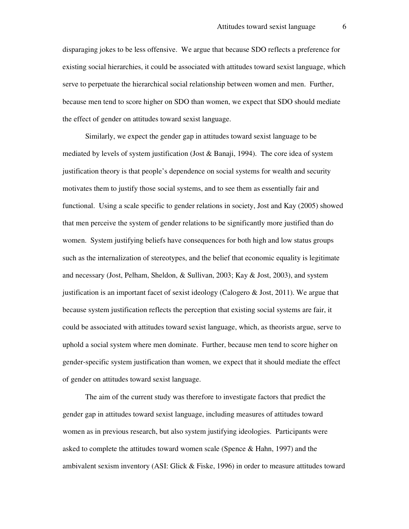disparaging jokes to be less offensive. We argue that because SDO reflects a preference for existing social hierarchies, it could be associated with attitudes toward sexist language, which serve to perpetuate the hierarchical social relationship between women and men. Further, because men tend to score higher on SDO than women, we expect that SDO should mediate the effect of gender on attitudes toward sexist language.

Similarly, we expect the gender gap in attitudes toward sexist language to be mediated by levels of system justification (Jost & Banaji, 1994). The core idea of system justification theory is that people's dependence on social systems for wealth and security motivates them to justify those social systems, and to see them as essentially fair and functional. Using a scale specific to gender relations in society, Jost and Kay (2005) showed that men perceive the system of gender relations to be significantly more justified than do women. System justifying beliefs have consequences for both high and low status groups such as the internalization of stereotypes, and the belief that economic equality is legitimate and necessary (Jost, Pelham, Sheldon, & Sullivan, 2003; Kay & Jost, 2003), and system justification is an important facet of sexist ideology (Calogero  $\&$  Jost, 2011). We argue that because system justification reflects the perception that existing social systems are fair, it could be associated with attitudes toward sexist language, which, as theorists argue, serve to uphold a social system where men dominate. Further, because men tend to score higher on gender-specific system justification than women, we expect that it should mediate the effect of gender on attitudes toward sexist language.

The aim of the current study was therefore to investigate factors that predict the gender gap in attitudes toward sexist language, including measures of attitudes toward women as in previous research, but also system justifying ideologies. Participants were asked to complete the attitudes toward women scale (Spence & Hahn, 1997) and the ambivalent sexism inventory (ASI: Glick & Fiske, 1996) in order to measure attitudes toward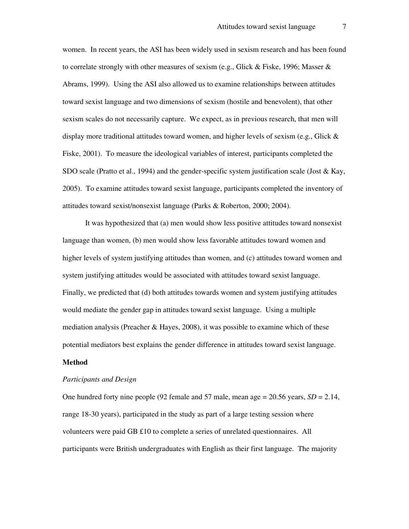women. In recent years, the ASI has been widely used in sexism research and has been found to correlate strongly with other measures of sexism (e.g., Glick & Fiske, 1996; Masser & Abrams, 1999). Using the ASI also allowed us to examine relationships between attitudes toward sexist language and two dimensions of sexism (hostile and benevolent), that other sexism scales do not necessarily capture. We expect, as in previous research, that men will display more traditional attitudes toward women, and higher levels of sexism (e.g., Glick  $\&$ Fiske, 2001). To measure the ideological variables of interest, participants completed the SDO scale (Pratto et al., 1994) and the gender-specific system justification scale (Jost & Kay, 2005). To examine attitudes toward sexist language, participants completed the inventory of attitudes toward sexist/nonsexist language (Parks & Roberton, 2000; 2004).

It was hypothesized that (a) men would show less positive attitudes toward nonsexist language than women, (b) men would show less favorable attitudes toward women and higher levels of system justifying attitudes than women, and (c) attitudes toward women and system justifying attitudes would be associated with attitudes toward sexist language. Finally, we predicted that (d) both attitudes towards women and system justifying attitudes would mediate the gender gap in attitudes toward sexist language. Using a multiple mediation analysis (Preacher & Hayes, 2008), it was possible to examine which of these potential mediators best explains the gender difference in attitudes toward sexist language.

#### **Method**

#### *Participants and Design*

One hundred forty nine people (92 female and 57 male, mean age  $= 20.56$  years,  $SD = 2.14$ , range 18-30 years), participated in the study as part of a large testing session where volunteers were paid GB £10 to complete a series of unrelated questionnaires. All participants were British undergraduates with English as their first language. The majority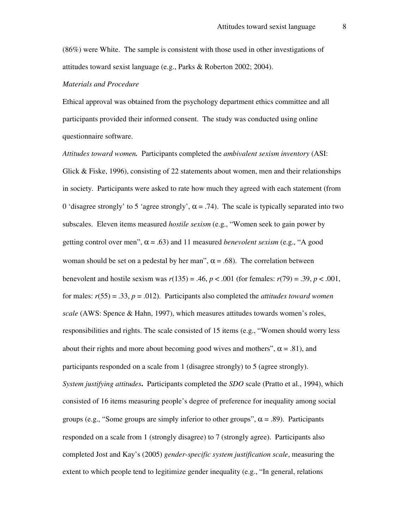(86%) were White. The sample is consistent with those used in other investigations of attitudes toward sexist language (e.g., Parks & Roberton 2002; 2004).

#### *Materials and Procedure*

Ethical approval was obtained from the psychology department ethics committee and all participants provided their informed consent. The study was conducted using online questionnaire software.

*Attitudes toward women.* Participants completed the *ambivalent sexism inventory* (ASI: Glick & Fiske, 1996), consisting of 22 statements about women, men and their relationships in society. Participants were asked to rate how much they agreed with each statement (from 0 'disagree strongly' to 5 'agree strongly',  $\alpha$  = .74). The scale is typically separated into two subscales. Eleven items measured *hostile sexism* (e.g., "Women seek to gain power by getting control over men",  $\alpha = .63$ ) and 11 measured *benevolent sexism* (e.g., "A good woman should be set on a pedestal by her man",  $\alpha = .68$ ). The correlation between benevolent and hostile sexism was *r*(135) = .46, *p* < .001 (for females: *r*(79) = .39, *p* < .001, for males:  $r(55) = .33$ ,  $p = .012$ ). Participants also completed the *attitudes toward women scale* (AWS: Spence & Hahn, 1997), which measures attitudes towards women's roles, responsibilities and rights. The scale consisted of 15 items (e.g., "Women should worry less about their rights and more about becoming good wives and mothers",  $\alpha$  = .81), and participants responded on a scale from 1 (disagree strongly) to 5 (agree strongly). *System justifying attitudes***.**Participants completed the *SDO* scale (Pratto et al., 1994), which consisted of 16 items measuring people's degree of preference for inequality among social groups (e.g., "Some groups are simply inferior to other groups",  $\alpha$  = .89). Participants responded on a scale from 1 (strongly disagree) to 7 (strongly agree). Participants also completed Jost and Kay's (2005) *gender-specific system justification scale*, measuring the extent to which people tend to legitimize gender inequality (e.g., "In general, relations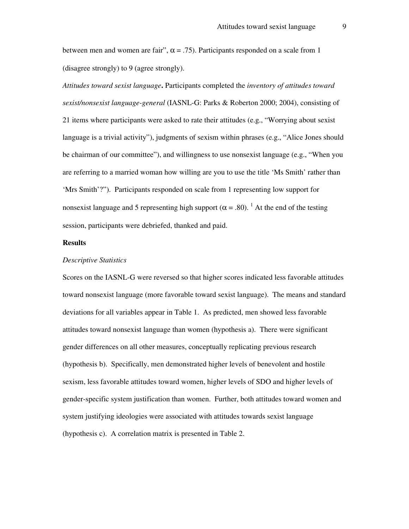between men and women are fair",  $\alpha = .75$ ). Participants responded on a scale from 1 (disagree strongly) to 9 (agree strongly).

*Attitudes toward sexist language***.** Participants completed the *inventory of attitudes toward sexist/nonsexist language-general* (IASNL-G: Parks & Roberton 2000; 2004), consisting of 21 items where participants were asked to rate their attitudes (e.g., "Worrying about sexist language is a trivial activity"), judgments of sexism within phrases (e.g., "Alice Jones should be chairman of our committee"), and willingness to use nonsexist language (e.g., "When you are referring to a married woman how willing are you to use the title 'Ms Smith' rather than 'Mrs Smith'?"). Participants responded on scale from 1 representing low support for nonsexist language and 5 representing high support ( $\alpha$  = .80). <sup>1</sup> At the end of the testing session, participants were debriefed, thanked and paid.

#### **Results**

#### *Descriptive Statistics*

Scores on the IASNL-G were reversed so that higher scores indicated less favorable attitudes toward nonsexist language (more favorable toward sexist language). The means and standard deviations for all variables appear in Table 1. As predicted, men showed less favorable attitudes toward nonsexist language than women (hypothesis a). There were significant gender differences on all other measures, conceptually replicating previous research (hypothesis b). Specifically, men demonstrated higher levels of benevolent and hostile sexism, less favorable attitudes toward women, higher levels of SDO and higher levels of gender-specific system justification than women. Further, both attitudes toward women and system justifying ideologies were associated with attitudes towards sexist language (hypothesis c). A correlation matrix is presented in Table 2.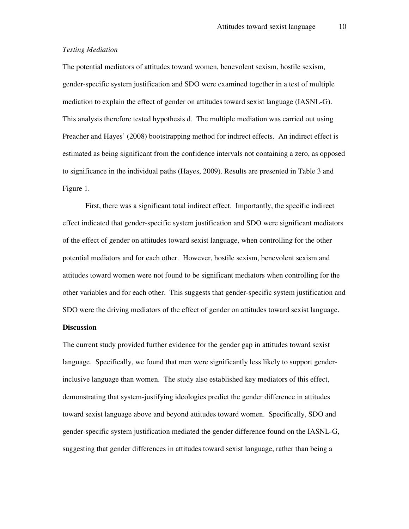#### *Testing Mediation*

The potential mediators of attitudes toward women, benevolent sexism, hostile sexism, gender-specific system justification and SDO were examined together in a test of multiple mediation to explain the effect of gender on attitudes toward sexist language (IASNL-G). This analysis therefore tested hypothesis d. The multiple mediation was carried out using Preacher and Hayes' (2008) bootstrapping method for indirect effects. An indirect effect is estimated as being significant from the confidence intervals not containing a zero, as opposed to significance in the individual paths (Hayes, 2009). Results are presented in Table 3 and Figure 1.

First, there was a significant total indirect effect. Importantly, the specific indirect effect indicated that gender-specific system justification and SDO were significant mediators of the effect of gender on attitudes toward sexist language, when controlling for the other potential mediators and for each other. However, hostile sexism, benevolent sexism and attitudes toward women were not found to be significant mediators when controlling for the other variables and for each other. This suggests that gender-specific system justification and SDO were the driving mediators of the effect of gender on attitudes toward sexist language.

#### **Discussion**

The current study provided further evidence for the gender gap in attitudes toward sexist language. Specifically, we found that men were significantly less likely to support genderinclusive language than women. The study also established key mediators of this effect, demonstrating that system-justifying ideologies predict the gender difference in attitudes toward sexist language above and beyond attitudes toward women. Specifically, SDO and gender-specific system justification mediated the gender difference found on the IASNL-G, suggesting that gender differences in attitudes toward sexist language, rather than being a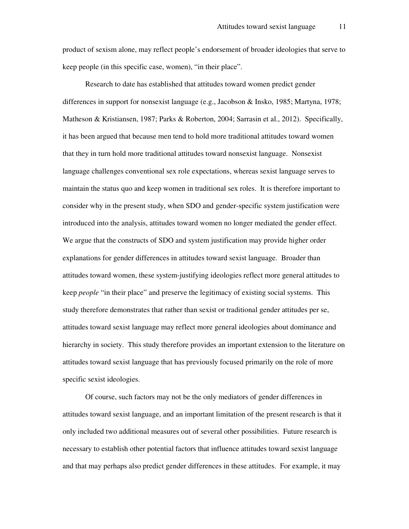product of sexism alone, may reflect people's endorsement of broader ideologies that serve to keep people (in this specific case, women), "in their place".

Research to date has established that attitudes toward women predict gender differences in support for nonsexist language (e.g., Jacobson & Insko, 1985; Martyna, 1978; Matheson & Kristiansen, 1987; Parks & Roberton, 2004; Sarrasin et al., 2012). Specifically, it has been argued that because men tend to hold more traditional attitudes toward women that they in turn hold more traditional attitudes toward nonsexist language. Nonsexist language challenges conventional sex role expectations, whereas sexist language serves to maintain the status quo and keep women in traditional sex roles. It is therefore important to consider why in the present study, when SDO and gender-specific system justification were introduced into the analysis, attitudes toward women no longer mediated the gender effect. We argue that the constructs of SDO and system justification may provide higher order explanations for gender differences in attitudes toward sexist language. Broader than attitudes toward women, these system-justifying ideologies reflect more general attitudes to keep *people* "in their place" and preserve the legitimacy of existing social systems. This study therefore demonstrates that rather than sexist or traditional gender attitudes per se, attitudes toward sexist language may reflect more general ideologies about dominance and hierarchy in society. This study therefore provides an important extension to the literature on attitudes toward sexist language that has previously focused primarily on the role of more specific sexist ideologies.

Of course, such factors may not be the only mediators of gender differences in attitudes toward sexist language, and an important limitation of the present research is that it only included two additional measures out of several other possibilities. Future research is necessary to establish other potential factors that influence attitudes toward sexist language and that may perhaps also predict gender differences in these attitudes. For example, it may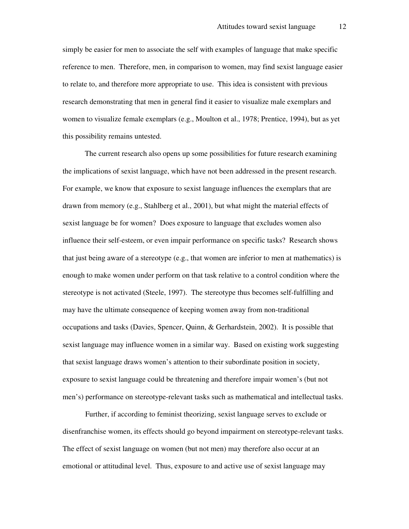simply be easier for men to associate the self with examples of language that make specific reference to men. Therefore, men, in comparison to women, may find sexist language easier to relate to, and therefore more appropriate to use. This idea is consistent with previous research demonstrating that men in general find it easier to visualize male exemplars and women to visualize female exemplars (e.g., Moulton et al., 1978; Prentice, 1994), but as yet this possibility remains untested.

The current research also opens up some possibilities for future research examining the implications of sexist language, which have not been addressed in the present research. For example, we know that exposure to sexist language influences the exemplars that are drawn from memory (e.g., Stahlberg et al., 2001), but what might the material effects of sexist language be for women? Does exposure to language that excludes women also influence their self-esteem, or even impair performance on specific tasks? Research shows that just being aware of a stereotype (e.g., that women are inferior to men at mathematics) is enough to make women under perform on that task relative to a control condition where the stereotype is not activated (Steele, 1997). The stereotype thus becomes self-fulfilling and may have the ultimate consequence of keeping women away from non-traditional occupations and tasks (Davies, Spencer, Quinn, & Gerhardstein, 2002). It is possible that sexist language may influence women in a similar way. Based on existing work suggesting that sexist language draws women's attention to their subordinate position in society, exposure to sexist language could be threatening and therefore impair women's (but not men's) performance on stereotype-relevant tasks such as mathematical and intellectual tasks.

Further, if according to feminist theorizing, sexist language serves to exclude or disenfranchise women, its effects should go beyond impairment on stereotype-relevant tasks. The effect of sexist language on women (but not men) may therefore also occur at an emotional or attitudinal level. Thus, exposure to and active use of sexist language may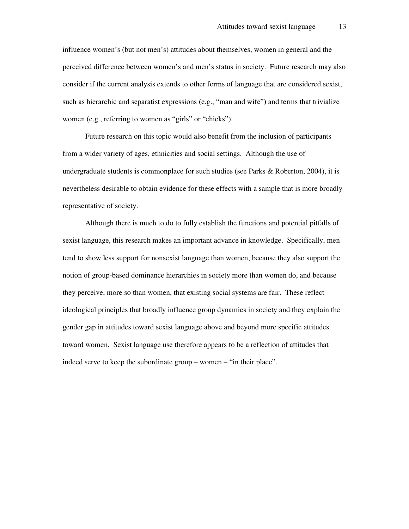influence women's (but not men's) attitudes about themselves, women in general and the perceived difference between women's and men's status in society. Future research may also consider if the current analysis extends to other forms of language that are considered sexist, such as hierarchic and separatist expressions (e.g., "man and wife") and terms that trivialize women (e.g., referring to women as "girls" or "chicks").

Future research on this topic would also benefit from the inclusion of participants from a wider variety of ages, ethnicities and social settings. Although the use of undergraduate students is commonplace for such studies (see Parks & Roberton, 2004), it is nevertheless desirable to obtain evidence for these effects with a sample that is more broadly representative of society.

Although there is much to do to fully establish the functions and potential pitfalls of sexist language, this research makes an important advance in knowledge. Specifically, men tend to show less support for nonsexist language than women, because they also support the notion of group-based dominance hierarchies in society more than women do, and because they perceive, more so than women, that existing social systems are fair. These reflect ideological principles that broadly influence group dynamics in society and they explain the gender gap in attitudes toward sexist language above and beyond more specific attitudes toward women. Sexist language use therefore appears to be a reflection of attitudes that indeed serve to keep the subordinate group – women – "in their place".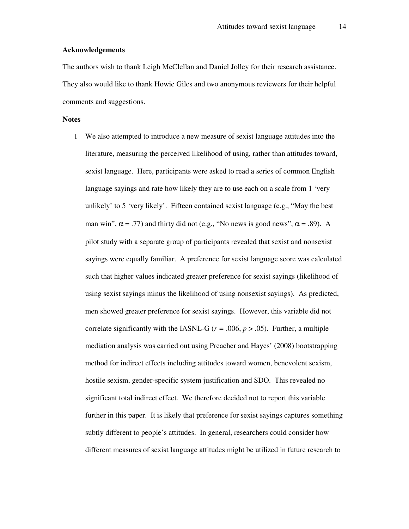#### **Acknowledgements**

The authors wish to thank Leigh McClellan and Daniel Jolley for their research assistance. They also would like to thank Howie Giles and two anonymous reviewers for their helpful comments and suggestions.

#### **Notes**

1 We also attempted to introduce a new measure of sexist language attitudes into the literature, measuring the perceived likelihood of using, rather than attitudes toward, sexist language. Here, participants were asked to read a series of common English language sayings and rate how likely they are to use each on a scale from 1 'very unlikely' to 5 'very likely'. Fifteen contained sexist language (e.g., "May the best man win",  $\alpha$  = .77) and thirty did not (e.g., "No news is good news",  $\alpha$  = .89). A pilot study with a separate group of participants revealed that sexist and nonsexist sayings were equally familiar. A preference for sexist language score was calculated such that higher values indicated greater preference for sexist sayings (likelihood of using sexist sayings minus the likelihood of using nonsexist sayings). As predicted, men showed greater preference for sexist sayings. However, this variable did not correlate significantly with the IASNL-G ( $r = .006$ ,  $p > .05$ ). Further, a multiple mediation analysis was carried out using Preacher and Hayes' (2008) bootstrapping method for indirect effects including attitudes toward women, benevolent sexism, hostile sexism, gender-specific system justification and SDO. This revealed no significant total indirect effect. We therefore decided not to report this variable further in this paper. It is likely that preference for sexist sayings captures something subtly different to people's attitudes. In general, researchers could consider how different measures of sexist language attitudes might be utilized in future research to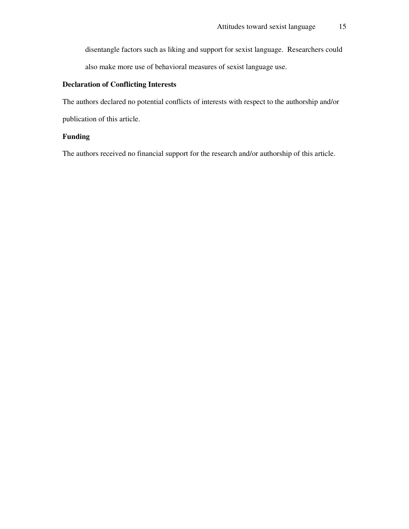disentangle factors such as liking and support for sexist language. Researchers could also make more use of behavioral measures of sexist language use.

## **Declaration of Conflicting Interests**

The authors declared no potential conflicts of interests with respect to the authorship and/or publication of this article.

## **Funding**

The authors received no financial support for the research and/or authorship of this article.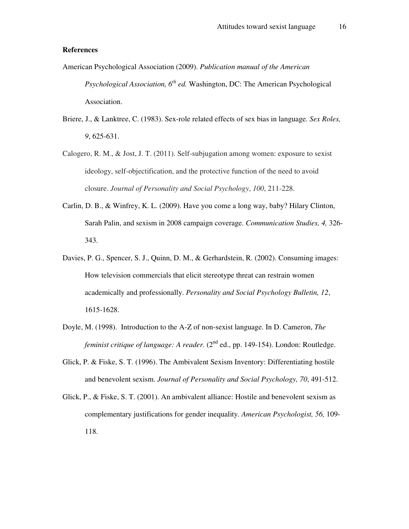#### **References**

- American Psychological Association (2009). *Publication manual of the American Psychological Association, 6th ed.* Washington, DC: The American Psychological Association.
- Briere, J., & Lanktree, C. (1983). Sex-role related effects of sex bias in language. *Sex Roles, 9*, 625-631.
- Calogero, R. M., & Jost, J. T. (2011). Self-subjugation among women: exposure to sexist ideology, self-objectification, and the protective function of the need to avoid closure. *Journal of Personality and Social Psychology*, *100*, 211-228.
- Carlin, D. B., & Winfrey, K. L. (2009). Have you come a long way, baby? Hilary Clinton, Sarah Palin, and sexism in 2008 campaign coverage. *Communication Studies, 4,* 326- 343.
- Davies, P. G., Spencer, S. J., Quinn, D. M., & Gerhardstein, R. (2002). Consuming images: How television commercials that elicit stereotype threat can restrain women academically and professionally. *Personality and Social Psychology Bulletin, 12*, 1615-1628.
- Doyle, M. (1998). Introduction to the A-Z of non-sexist language. In D. Cameron, *The feminist critique of language: A reader.* (2<sup>nd</sup> ed., pp. 149-154). London: Routledge.
- Glick, P. & Fiske, S. T. (1996). The Ambivalent Sexism Inventory: Differentiating hostile and benevolent sexism. *Journal of Personality and Social Psychology, 70*, 491-512.
- Glick, P., & Fiske, S. T. (2001). An ambivalent alliance: Hostile and benevolent sexism as complementary justifications for gender inequality. *American Psychologist, 56,* 109- 118.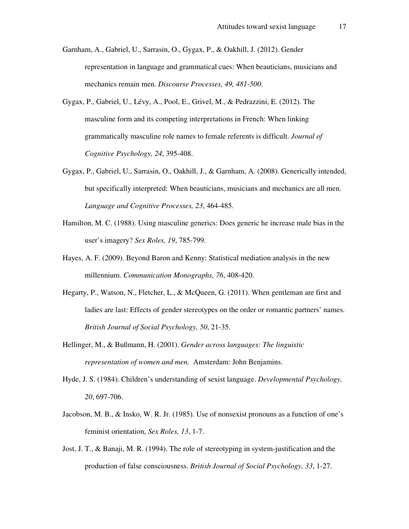- Garnham, A., Gabriel, U., Sarrasin, O., Gygax, P., & Oakhill, J. (2012). Gender representation in language and grammatical cues: When beauticians, musicians and mechanics remain men. *Discourse Processes, 49, 481-500*.
- Gygax, P., Gabriel, U., Lévy, A., Pool, E., Grivel, M., & Pedrazzini, E. (2012). The masculine form and its competing interpretations in French: When linking grammatically masculine role names to female referents is difficult. *Journal of Cognitive Psychology, 24*, 395-408.
- Gygax, P., Gabriel, U., Sarrasin, O., Oakhill, J., & Garnham, A. (2008). Generically intended, but specifically interpreted: When beauticians, musicians and mechanics are all men. *Language and Cognitive Processes, 23*, 464-485.
- Hamilton, M. C. (1988). Using masculine generics: Does generic he increase male bias in the user's imagery? *Sex Roles, 19*, 785-799.
- Hayes, A. F. (2009). Beyond Baron and Kenny: Statistical mediation analysis in the new millennium. *Communication Monographs, 76*, 408-420.
- Hegarty, P., Watson, N., Fletcher, L., & McQueen, G. (2011). When gentleman are first and ladies are last: Effects of gender stereotypes on the order or romantic partners' names. *British Journal of Social Psychology, 50*, 21-35.
- Hellinger, M., & Bußmann, H. (2001). *Gender across languages: The linguistic representation of women and men.* Amsterdam: John Benjamins.
- Hyde, J. S. (1984). Children's understanding of sexist language. *Developmental Psychology, 20*, 697-706.
- Jacobson, M. B., & Insko, W. R. Jr. (1985). Use of nonsexist pronouns as a function of one's feminist orientation, *Sex Roles, 13*, 1-7.
- Jost, J. T., & Banaji, M. R. (1994). The role of stereotyping in system-justification and the production of false consciousness. *British Journal of Social Psychology, 33*, 1-27.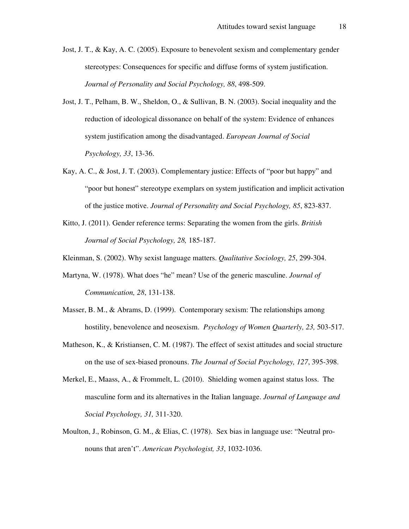- Jost, J. T., & Kay, A. C. (2005). Exposure to benevolent sexism and complementary gender stereotypes: Consequences for specific and diffuse forms of system justification. *Journal of Personality and Social Psychology, 88*, 498-509.
- Jost, J. T., Pelham, B. W., Sheldon, O., & Sullivan, B. N. (2003). Social inequality and the reduction of ideological dissonance on behalf of the system: Evidence of enhances system justification among the disadvantaged. *European Journal of Social Psychology, 33*, 13-36.
- Kay, A. C., & Jost, J. T. (2003). Complementary justice: Effects of "poor but happy" and "poor but honest" stereotype exemplars on system justification and implicit activation of the justice motive. *Journal of Personality and Social Psychology, 85*, 823-837.
- Kitto, J. (2011). Gender reference terms: Separating the women from the girls. *British Journal of Social Psychology, 28,* 185-187.

Kleinman, S. (2002). Why sexist language matters. *Qualitative Sociology, 25*, 299-304.

- Martyna, W. (1978). What does "he" mean? Use of the generic masculine. *Journal of Communication, 28*, 131-138.
- Masser, B. M., & Abrams, D. (1999). Contemporary sexism: The relationships among hostility, benevolence and neosexism. *Psychology of Women Quarterly, 23,* 503-517.
- Matheson, K., & Kristiansen, C. M. (1987). The effect of sexist attitudes and social structure on the use of sex-biased pronouns. *The Journal of Social Psychology, 127*, 395-398.
- Merkel, E., Maass, A., & Frommelt, L. (2010). Shielding women against status loss. The masculine form and its alternatives in the Italian language. *Journal of Language and Social Psychology, 31,* 311-320.
- Moulton, J., Robinson, G. M., & Elias, C. (1978). Sex bias in language use: "Neutral pronouns that aren't". *American Psychologist, 33*, 1032-1036.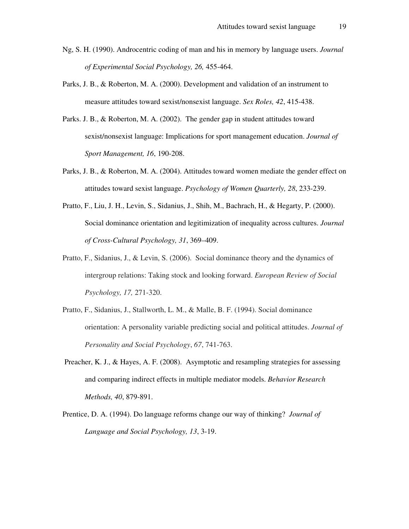- Ng, S. H. (1990). Androcentric coding of man and his in memory by language users. *Journal of Experimental Social Psychology, 26,* 455-464.
- Parks, J. B., & Roberton, M. A. (2000). Development and validation of an instrument to measure attitudes toward sexist/nonsexist language. *Sex Roles, 42*, 415-438.
- Parks. J. B., & Roberton, M. A. (2002). The gender gap in student attitudes toward sexist/nonsexist language: Implications for sport management education. *Journal of Sport Management, 16*, 190-208.
- Parks, J. B., & Roberton, M. A. (2004). Attitudes toward women mediate the gender effect on attitudes toward sexist language. *Psychology of Women Quarterly, 28*, 233-239.
- Pratto, F., Liu, J. H., Levin, S., Sidanius, J., Shih, M., Bachrach, H., & Hegarty, P. (2000). Social dominance orientation and legitimization of inequality across cultures. *Journal of Cross-Cultural Psychology, 31*, 369–409.
- Pratto, F., Sidanius, J., & Levin, S. (2006). Social dominance theory and the dynamics of intergroup relations: Taking stock and looking forward. *European Review of Social Psychology, 17,* 271-320.
- Pratto, F., Sidanius, J., Stallworth, L. M., & Malle, B. F. (1994). Social dominance orientation: A personality variable predicting social and political attitudes. *Journal of Personality and Social Psychology*, *67*, 741-763.
- Preacher, K. J., & Hayes, A. F. (2008). Asymptotic and resampling strategies for assessing and comparing indirect effects in multiple mediator models. *Behavior Research Methods, 40*, 879-891.
- Prentice, D. A. (1994). Do language reforms change our way of thinking? *Journal of Language and Social Psychology, 13*, 3-19.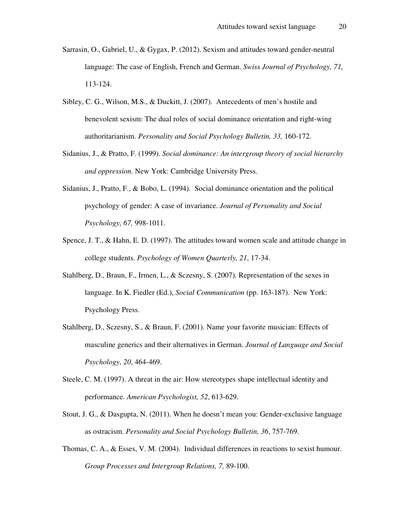- Sarrasin, O., Gabriel, U., & Gygax, P. (2012). Sexism and attitudes toward gender-neutral language: The case of English, French and German. *Swiss Journal of Psychology, 71,*  113-124.
- Sibley, C. G., Wilson, M.S., & Duckitt, J. (2007). Antecedents of men's hostile and benevolent sexism: The dual roles of social dominance orientation and right-wing authoritarianism. *Personality and Social Psychology Bulletin, 33,* 160-172.
- Sidanius, J., & Pratto, F. (1999). *Social dominance: An intergroup theory of social hierarchy and oppression.* New York: Cambridge University Press.
- Sidanius, J., Pratto, F., & Bobo, L. (1994). Social dominance orientation and the political psychology of gender: A case of invariance. *Journal of Personality and Social Psychology, 67,* 998-1011.
- Spence, J. T., & Hahn, E. D. (1997). The attitudes toward women scale and attitude change in college students. *Psychology of Women Quarterly, 21*, 17-34.
- Stahlberg, D., Braun, F., Irmen, L., & Sczesny, S. (2007). Representation of the sexes in language. In K. Fiedler (Ed.), *Social Communication* (pp. 163-187). New York: Psychology Press.
- Stahlberg, D., Sczesny, S., & Braun, F. (2001). Name your favorite musician: Effects of masculine generics and their alternatives in German. *Journal of Language and Social Psychology, 20*, 464-469.
- Steele, C. M. (1997). A threat in the air: How stereotypes shape intellectual identity and performance. *American Psychologist, 52*, 613-629.
- Stout, J. G., & Dasgupta, N. (2011). When he doesn't mean you: Gender-exclusive language as ostracism. *Personality and Social Psychology Bulletin, 36*, 757-769.
- Thomas, C. A., & Esses, V. M. (2004). Individual differences in reactions to sexist humour. *Group Processes and Intergroup Relations, 7,* 89-100.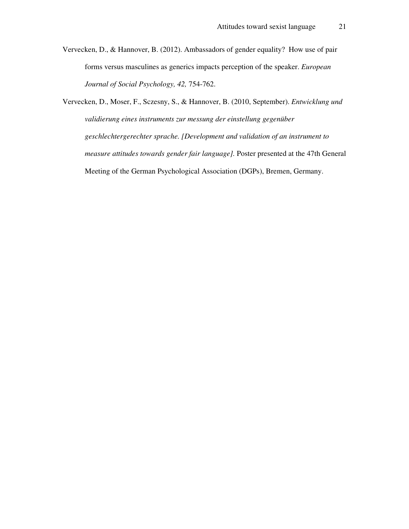Vervecken, D., & Hannover, B. (2012). Ambassadors of gender equality? How use of pair forms versus masculines as generics impacts perception of the speaker. *European Journal of Social Psychology, 42,* 754-762.

Vervecken, D., Moser, F., Sczesny, S., & Hannover, B. (2010, September). *Entwicklung und validierung eines instruments zur messung der einstellung gegenüber geschlechtergerechter sprache. [Development and validation of an instrument to measure attitudes towards gender fair language].* Poster presented at the 47th General Meeting of the German Psychological Association (DGPs), Bremen, Germany.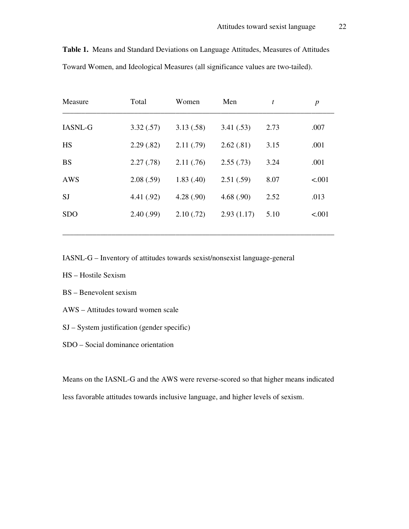| Measure        | Total      | Women      | Men        | t    | $\boldsymbol{p}$ |
|----------------|------------|------------|------------|------|------------------|
| <b>IASNL-G</b> | 3.32(.57)  | 3.13(.58)  | 3.41(.53)  | 2.73 | .007             |
| HS             | 2.29(.82)  | 2.11(.79)  | 2.62(.81)  | 3.15 | .001             |
| <b>BS</b>      | 2.27(.78)  | 2.11(.76)  | 2.55(.73)  | 3.24 | .001             |
| AWS            | 2.08(.59)  | 1.83(0.40) | 2.51(.59)  | 8.07 | < .001           |
| <b>SJ</b>      | 4.41 (.92) | 4.28(.90)  | 4.68(.90)  | 2.52 | .013             |
| <b>SDO</b>     | 2.40(0.99) | 2.10(0.72) | 2.93(1.17) | 5.10 | < .001           |
|                |            |            |            |      |                  |

**Table 1.** Means and Standard Deviations on Language Attitudes, Measures of Attitudes Toward Women, and Ideological Measures (all significance values are two-tailed).

IASNL-G – Inventory of attitudes towards sexist/nonsexist language-general

- HS Hostile Sexism
- BS Benevolent sexism
- AWS Attitudes toward women scale
- SJ System justification (gender specific)
- SDO Social dominance orientation

Means on the IASNL-G and the AWS were reverse-scored so that higher means indicated less favorable attitudes towards inclusive language, and higher levels of sexism.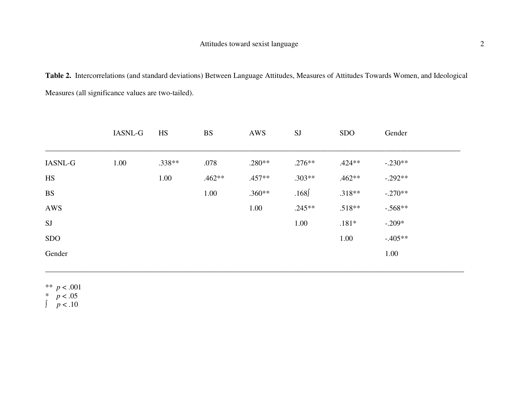**Table 2.** Intercorrelations (and standard deviations) Between Language Attitudes, Measures of Attitudes Towards Women, and Ideological Measures (all significance values are two-tailed).

|                | <b>IASNL-G</b> | <b>HS</b> | <b>BS</b> | AWS      | <b>SJ</b> | <b>SDO</b> | Gender    |
|----------------|----------------|-----------|-----------|----------|-----------|------------|-----------|
| <b>IASNL-G</b> | 1.00           | .338**    | .078      | $.280**$ | $.276**$  | $.424**$   | $-.230**$ |
| HS             |                | 1.00      | $.462**$  | $.457**$ | $.303**$  | $.462**$   | $-.292**$ |
| <b>BS</b>      |                |           | 1.00      | $.360**$ | .168      | $.318**$   | $-.270**$ |
| AWS            |                |           |           | 1.00     | $.245**$  | $.518**$   | $-.568**$ |
| <b>SJ</b>      |                |           |           |          | 1.00      | $.181*$    | $-.209*$  |
| <b>SDO</b>     |                |           |           |          |           | 1.00       | $-.405**$ |
| Gender         |                |           |           |          |           |            | 1.00      |
|                |                |           |           |          |           |            |           |

\_\_\_\_\_\_\_\_\_\_\_\_\_\_\_\_\_\_\_\_\_\_\_\_\_\_\_\_\_\_\_\_\_\_\_\_\_\_\_\_\_\_\_\_\_\_\_\_\_\_\_\_\_\_\_\_\_\_\_\_\_\_\_\_\_\_\_\_\_\_\_\_\_\_\_\_\_\_\_\_\_\_\_\_\_\_\_\_\_\_\_\_\_\_\_\_\_\_\_\_\_\_\_\_\_\_\_\_\_\_\_

\*\* *p* < .001

 $\begin{array}{c} p < .05 \\ p < .10 \end{array}$ 

 $p < .10$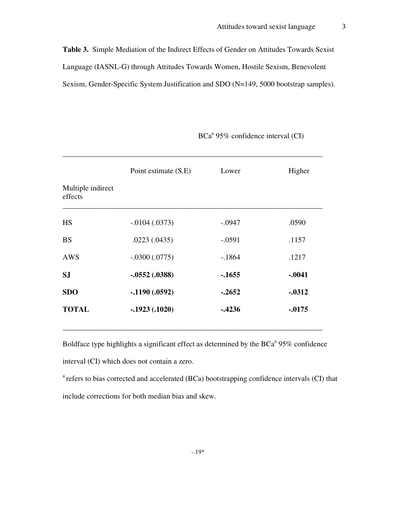**Table 3.** Simple Mediation of the Indirect Effects of Gender on Attitudes Towards Sexist Language (IASNL-G) through Attitudes Towards Women, Hostile Sexism, Benevolent Sexism, Gender-Specific System Justification and SDO (N=149, 5000 bootstrap samples).

| Point estimate (S.E) | Lower    | Higher    |
|----------------------|----------|-----------|
|                      |          |           |
| $-0.0104$ $(0.0373)$ | $-.0947$ | .0590     |
| .0223(.0435)         | $-.0591$ | .1157     |
| $-.0300(.0775)$      | $-1864$  | .1217     |
| $-.0552(.0388)$      | $-1655$  | $-.0041$  |
| $-.1190(.0592)$      | $-.2652$ | $-0.0312$ |
| $-.1923(.1020)$      | $-4236$  | $-0.0175$ |
|                      |          |           |

\_\_\_\_\_\_\_\_\_\_\_\_\_\_\_\_\_\_\_\_\_\_\_\_\_\_\_\_\_\_\_\_\_\_\_\_\_\_\_\_\_\_\_\_\_\_\_\_\_\_\_\_\_\_\_\_\_\_\_\_\_\_\_\_\_\_\_\_\_

BCa<sup>a</sup> 95% confidence interval (CI)

Boldface type highlights a significant effect as determined by the  $BCa^a$  95% confidence interval (CI) which does not contain a zero.

 $a$ <sup>a</sup> refers to bias corrected and accelerated (BCa) bootstrapping confidence intervals (CI) that include corrections for both median bias and skew.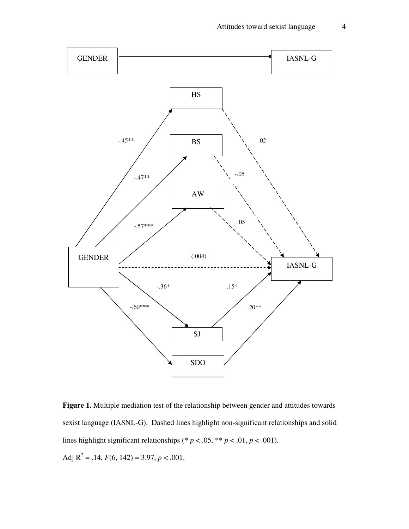

**Figure 1.** Multiple mediation test of the relationship between gender and attitudes towards sexist language (IASNL-G). Dashed lines highlight non-significant relationships and solid lines highlight significant relationships (\*  $p < .05$ , \*\*  $p < .01$ ,  $p < .001$ ). Adj  $R^2 = .14$ ,  $F(6, 142) = 3.97$ ,  $p < .001$ .